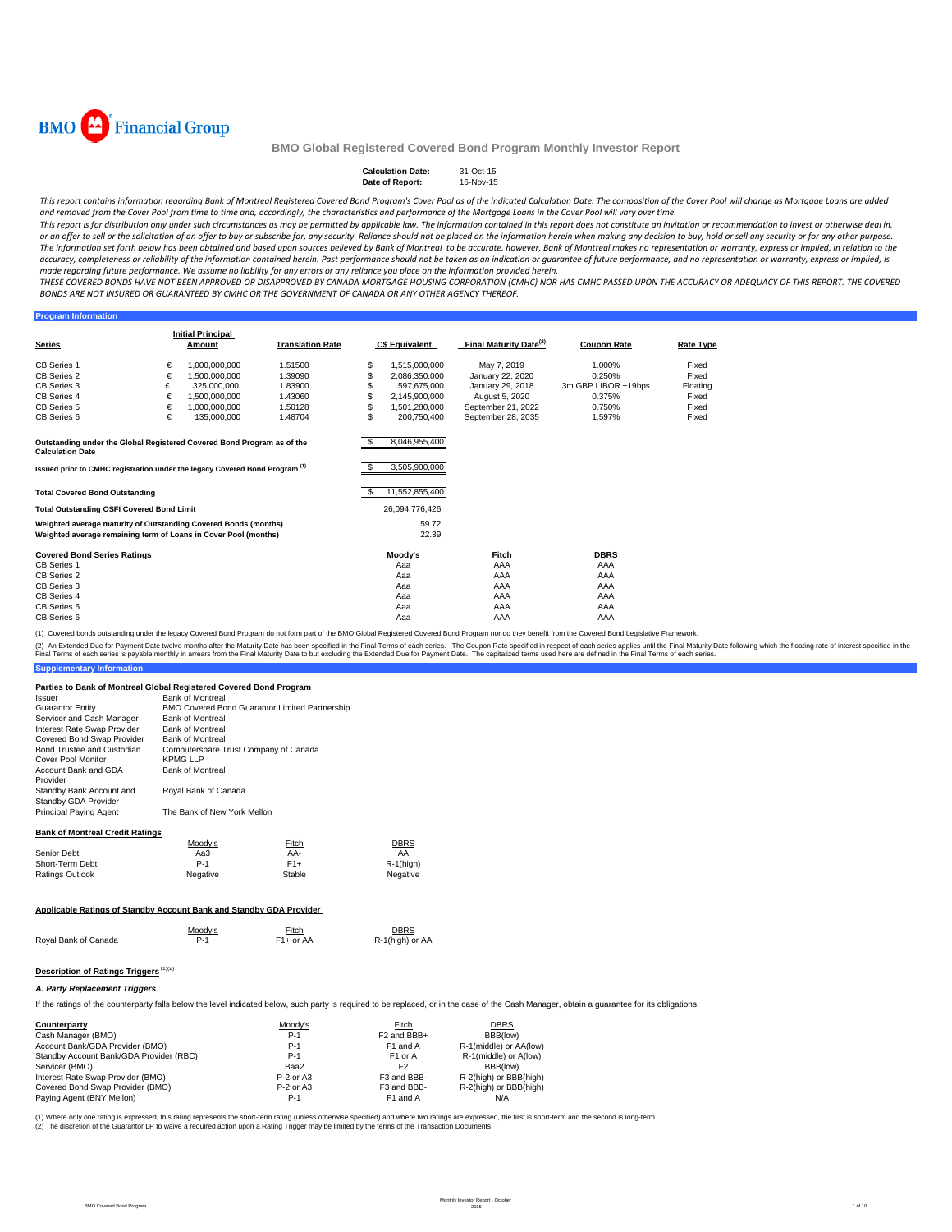

#### Calculation Date: 31-Oct-15<br>Date of Report: 16-Nov-15 **Date of Report:**

This report contains information regarding Bank of Montreal Registered Covered Bond Program's Cover Pool as of the indicated Calculation Date. The composition of the Cover Pool will change as Mortgage Loans are added and removed from the Cover Pool from time to time and, accordingly, the characteristics and performance of the Mortgage Loans in the Cover Pool will vary over time.

This report is for distribution only under such circumstances as may be permitted by applicable law. The information contained in this report does not constitute an invitation or recommendation to invest or otherwise deal or an offer to sell or the solicitation of an offer to buy or subscribe for, any security. Reliance should not be placed on the information herein when making any decision to buy, hold or sell any security or for any other The information set forth below has been obtained and based upon sources believed by Bank of Montreal to be accurate, however, Bank of Montreal makes no representation or warranty, express or implied, in relation to the accuracy, completeness or reliability of the information contained herein. Past performance should not be taken as an indication or guarantee of future performance, and no representation or warranty, express or implied, is made regarding future performance. We assume no liability for any errors or any reliance you place on the information provided herein.

THESE COVERED BONDS HAVE NOT BEEN APPROVED OR DISAPPROVED BY CANADA MORTGAGE HOUSING CORPORATION (CMHC) NOR HAS CMHC PASSED UPON THE ACCURACY OR ADFOUACY OF THIS REPORT. THE COVERED BONDS ARE NOT INSURED OR GUARANTEED BY CMHC OR THE GOVERNMENT OF CANADA OR ANY OTHER AGENCY THEREOF.

#### **Program Information**

|                                                                                                   |   | <b>Initial Principal</b> |                         |    |                       |                                    |                     |                  |
|---------------------------------------------------------------------------------------------------|---|--------------------------|-------------------------|----|-----------------------|------------------------------------|---------------------|------------------|
| <b>Series</b>                                                                                     |   | Amount                   | <b>Translation Rate</b> |    | <b>C\$ Equivalent</b> | Final Maturity Date <sup>(2)</sup> | <b>Coupon Rate</b>  | <b>Rate Type</b> |
| <b>CB Series 1</b>                                                                                | € | 1.000.000.000            | 1.51500                 | \$ | 1.515.000.000         | May 7, 2019                        | 1.000%              | Fixed            |
| CB Series 2                                                                                       | € | 1.500.000.000            | 1.39090                 | S. | 2,086,350,000         | January 22, 2020                   | 0.250%              | Fixed            |
| CB Series 3                                                                                       | £ | 325.000.000              | 1.83900                 |    | 597.675.000           | January 29, 2018                   | 3m GBP LIBOR +19bps | Floating         |
| CB Series 4                                                                                       | € | 1.500.000.000            | 1.43060                 |    | 2,145,900,000         | August 5, 2020                     | 0.375%              | Fixed            |
| CB Series 5                                                                                       | € | 1.000.000.000            | 1.50128                 | \$ | 1.501.280.000         | September 21, 2022                 | 0.750%              | Fixed            |
| CB Series 6                                                                                       | € | 135,000,000              | 1.48704                 | Ś. | 200.750.400           | September 28, 2035                 | 1.597%              | Fixed            |
|                                                                                                   |   |                          |                         |    |                       |                                    |                     |                  |
|                                                                                                   |   |                          |                         |    |                       |                                    |                     |                  |
| Outstanding under the Global Registered Covered Bond Program as of the<br><b>Calculation Date</b> |   |                          |                         |    | 8,046,955,400         |                                    |                     |                  |
|                                                                                                   |   |                          |                         |    |                       |                                    |                     |                  |
| Issued prior to CMHC registration under the legacy Covered Bond Program <sup>(1)</sup>            |   |                          |                         |    | 3,505,900,000         |                                    |                     |                  |
|                                                                                                   |   |                          |                         |    |                       |                                    |                     |                  |
| <b>Total Covered Bond Outstanding</b>                                                             |   |                          |                         |    | 11,552,855,400        |                                    |                     |                  |
| <b>Total Outstanding OSFI Covered Bond Limit</b>                                                  |   |                          |                         |    | 26,094,776,426        |                                    |                     |                  |
| Weighted average maturity of Outstanding Covered Bonds (months)                                   |   |                          |                         |    | 59.72                 |                                    |                     |                  |
| Weighted average remaining term of Loans in Cover Pool (months)                                   |   |                          |                         |    | 22.39                 |                                    |                     |                  |
|                                                                                                   |   |                          |                         |    |                       |                                    |                     |                  |
| <b>Covered Bond Series Ratings</b>                                                                |   |                          |                         |    | Moody's               | Fitch                              | <b>DBRS</b>         |                  |
| <b>CB Series 1</b>                                                                                |   |                          |                         |    | Aaa                   | AAA                                | AAA                 |                  |
| CB Series 2                                                                                       |   |                          |                         |    | Aaa                   | AAA                                | AAA                 |                  |
| CB Series 3                                                                                       |   |                          |                         |    | Aaa                   | AAA                                | AAA                 |                  |
| CB Series 4                                                                                       |   |                          |                         |    | Aaa                   | AAA                                | AAA                 |                  |
| CB Series 5                                                                                       |   |                          |                         |    | Aaa                   | AAA                                | AAA                 |                  |
| CB Series 6                                                                                       |   |                          |                         |    | Aaa                   | AAA                                | AAA                 |                  |

(1) Covered bonds outstanding under the legacy Covered Bond Program do not form part of the BMO Global Registered Covered Bond Program nor do they benefit from the Covered Bond Legislative Framework.

**Supplementary Information** (2) An Extended Due for Payment Date twelve months after the Maturity Date has been specified in the Final Terms of each series. The Coupon Rate specified in the found help that a base to but excluding the Extended Due for

### **Parties to Bank of Montreal Global Registered Covered Bond Program**

| and to bailly or morni our orower responsive out of rolled borrer respective | <b>Bank of Montreal</b>               |                                                |                                |
|------------------------------------------------------------------------------|---------------------------------------|------------------------------------------------|--------------------------------|
| <i><b>Issuer</b></i>                                                         |                                       |                                                |                                |
| <b>Guarantor Entity</b>                                                      |                                       | BMO Covered Bond Guarantor Limited Partnership |                                |
| Servicer and Cash Manager                                                    | <b>Bank of Montreal</b>               |                                                |                                |
| Interest Rate Swap Provider                                                  | <b>Bank of Montreal</b>               |                                                |                                |
| Covered Bond Swap Provider                                                   | <b>Bank of Montreal</b>               |                                                |                                |
| Bond Trustee and Custodian                                                   | Computershare Trust Company of Canada |                                                |                                |
| Cover Pool Monitor                                                           | <b>KPMG LLP</b>                       |                                                |                                |
| Account Bank and GDA<br>Provider                                             | <b>Bank of Montreal</b>               |                                                |                                |
| Standby Bank Account and<br>Standby GDA Provider                             | Royal Bank of Canada                  |                                                |                                |
| Principal Paying Agent                                                       | The Bank of New York Mellon           |                                                |                                |
| <b>Bank of Montreal Credit Ratings</b>                                       |                                       |                                                |                                |
|                                                                              | Moody's                               | Fitch                                          | DBRS                           |
| Senior Debt                                                                  | Aa3                                   | AA-                                            | AA                             |
| Short-Term Debt                                                              | $P-1$                                 | $F1+$                                          | $R-1$ (high)                   |
| <b>Ratings Outlook</b>                                                       | Negative                              | Stable                                         | Negative                       |
|                                                                              |                                       |                                                |                                |
| Applicable Ratings of Standby Account Bank and Standby GDA Provider          |                                       |                                                |                                |
| Royal Bank of Canada                                                         | Moody's<br>$P-1$                      | Fitch<br>$F1+$ or AA                           | <b>DBRS</b><br>R-1(high) or AA |
|                                                                              |                                       |                                                |                                |

# **Description of Ratings Triggers** (1)(2)

#### *A. Party Replacement Triggers*

If the ratings of the counterparty falls below the level indicated below, such party is required to be replaced, or in the case of the Cash Manager, obtain a guarantee for its obligations.

| Counterparty                            | Moody's     | Fitch                   | <b>DBRS</b>            |
|-----------------------------------------|-------------|-------------------------|------------------------|
| Cash Manager (BMO)                      | $P-1$       | F <sub>2</sub> and BBB+ | BBB(low)               |
| Account Bank/GDA Provider (BMO)         | $P-1$       | F1 and A                | R-1(middle) or AA(low) |
| Standby Account Bank/GDA Provider (RBC) | $P-1$       | F <sub>1</sub> or A     | R-1(middle) or A(low)  |
| Servicer (BMO)                          | Baa2        | F <sub>2</sub>          | BBB(low)               |
| Interest Rate Swap Provider (BMO)       | $P-2$ or A3 | F3 and BBB-             | R-2(high) or BBB(high) |
| Covered Bond Swap Provider (BMO)        | $P-2$ or A3 | F3 and BBB-             | R-2(high) or BBB(high) |
| Paying Agent (BNY Mellon)               | $P-1$       | F1 and A                | N/A                    |

(1) Where only one rating is expressed, this rating represents the short-term rating (unless otherwise specified) and where two ratings are expressed, the first is short-term and the second is long-term. (2) The discretion of the Guarantor LP to waive a required action upon a Rating Trigger may be limited by the terms of the Transaction Documents.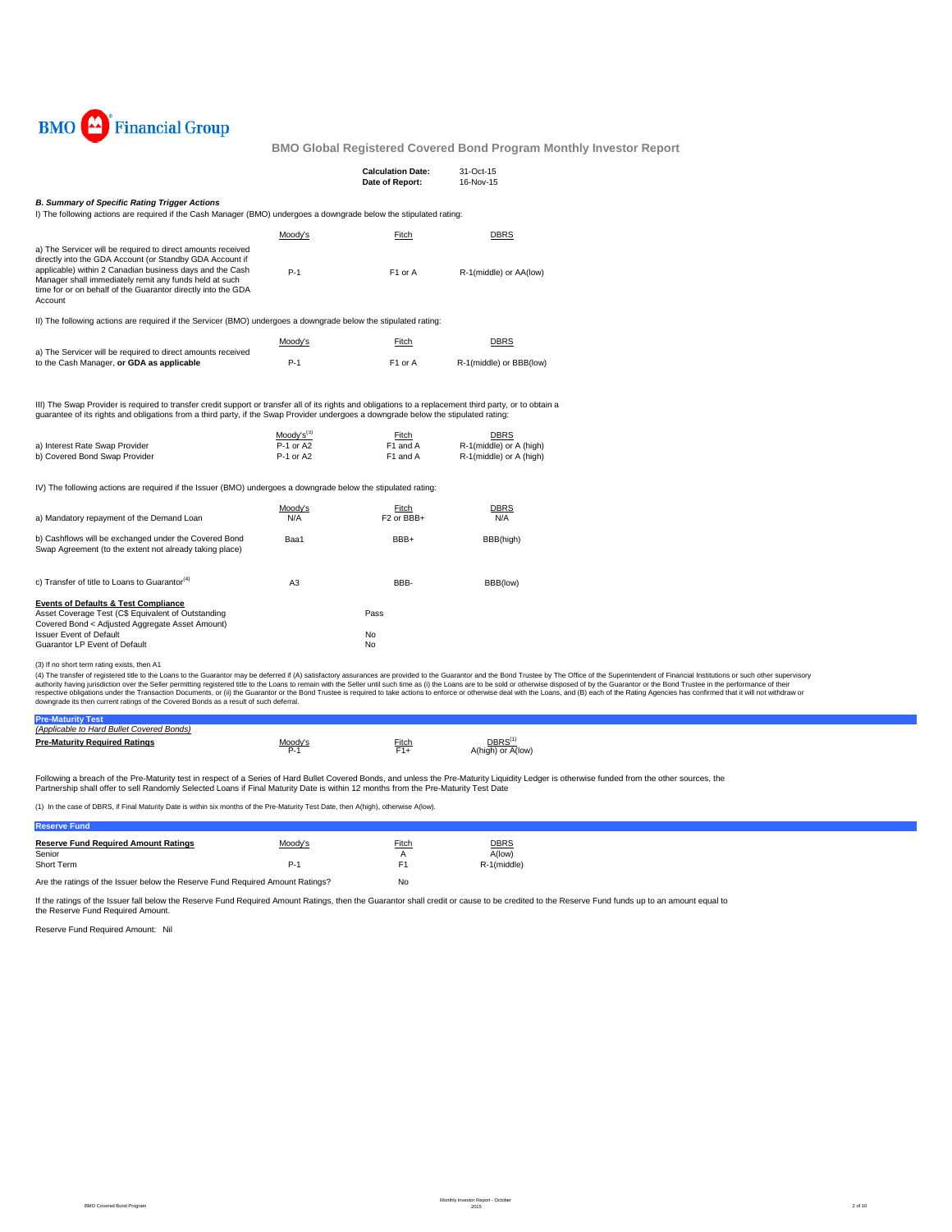

|                                                                                                                                                                                                                                                                                                                          |                                          | <b>Calculation Date:</b><br>Date of Report: | 31-Oct-15<br>16-Nov-15                                            |  |
|--------------------------------------------------------------------------------------------------------------------------------------------------------------------------------------------------------------------------------------------------------------------------------------------------------------------------|------------------------------------------|---------------------------------------------|-------------------------------------------------------------------|--|
| <b>B. Summary of Specific Rating Trigger Actions</b><br>I) The following actions are required if the Cash Manager (BMO) undergoes a downgrade below the stipulated rating:                                                                                                                                               |                                          |                                             |                                                                   |  |
|                                                                                                                                                                                                                                                                                                                          | Moody's                                  | Fitch                                       | <b>DBRS</b>                                                       |  |
| a) The Servicer will be required to direct amounts received<br>directly into the GDA Account (or Standby GDA Account if<br>applicable) within 2 Canadian business days and the Cash<br>Manager shall immediately remit any funds held at such<br>time for or on behalf of the Guarantor directly into the GDA<br>Account | $P-1$                                    | F1 or A                                     | R-1(middle) or AA(low)                                            |  |
| II) The following actions are required if the Servicer (BMO) undergoes a downgrade below the stipulated rating:                                                                                                                                                                                                          |                                          |                                             |                                                                   |  |
|                                                                                                                                                                                                                                                                                                                          | Moody's                                  | Fitch                                       | <b>DBRS</b>                                                       |  |
| a) The Servicer will be required to direct amounts received<br>to the Cash Manager, or GDA as applicable                                                                                                                                                                                                                 | $P-1$                                    | F1 or A                                     | R-1(middle) or BBB(low)                                           |  |
| III) The Swap Provider is required to transfer credit support or transfer all of its rights and obligations to a replacement third party, or to obtain a<br>guarantee of its rights and obligations from a third party, if the Swap Provider undergoes a downgrade below the stipulated rating:                          |                                          |                                             |                                                                   |  |
| a) Interest Rate Swap Provider<br>b) Covered Bond Swap Provider                                                                                                                                                                                                                                                          | $Mody's^{(3)}$<br>P-1 or A2<br>P-1 or A2 | Fitch<br>F1 and A<br>F1 and A               | <b>DBRS</b><br>R-1(middle) or A (high)<br>R-1(middle) or A (high) |  |
| IV) The following actions are required if the Issuer (BMO) undergoes a downgrade below the stipulated rating:                                                                                                                                                                                                            |                                          |                                             |                                                                   |  |
| a) Mandatory repayment of the Demand Loan                                                                                                                                                                                                                                                                                | Moody's<br>N/A                           | Fitch<br>F <sub>2</sub> or BBB+             | <b>DBRS</b><br>N/A                                                |  |
| b) Cashflows will be exchanged under the Covered Bond<br>Swap Agreement (to the extent not already taking place)                                                                                                                                                                                                         | Baa1                                     | BBB+                                        | BBB(high)                                                         |  |
| c) Transfer of title to Loans to Guarantor <sup>(4)</sup>                                                                                                                                                                                                                                                                | A <sub>3</sub>                           | BBB-                                        | BBB(low)                                                          |  |

| <b>Events of Defaults &amp; Test Compliance</b>    |      |
|----------------------------------------------------|------|
| Asset Coverage Test (C\$ Equivalent of Outstanding | Pass |
| Covered Bond < Adjusted Aggregate Asset Amount)    |      |
| <b>Issuer Event of Default</b>                     | No   |
| Guarantor LP Event of Default                      | No   |
|                                                    |      |

## (3) If no short term rating exists, then A1

(4) The transfer of registered title to the Loans to the Guarantor may be deferred if (A) satisfactory assurances are provided to the Guarantor and the Belle remains of profile to the Superintent of Financial Institutions

| (Applicable to Hard Bullet Covered Bonds) |         |              |                     |  |  |
|-------------------------------------------|---------|--------------|---------------------|--|--|
| <b>Pre-Maturity Required Ratings</b>      | Moody's | <b>Fitch</b> | DBRS <sup>(1)</sup> |  |  |
|                                           | P.1     | $F1+$        | A(high) or A(low)   |  |  |
|                                           |         |              |                     |  |  |

Following a breach of the Pre-Maturity test in respect of a Series of Hard Bullet Covered Bonds, and unless the Pre-Maturity Liquidity Ledger is otherwise funded from the other sources, the<br>Partnership shall offer to sell

(1) In the case of DBRS, if Final Maturity Date is within six months of the Pre-Maturity Test Date, then A(high), otherwise A(low).

### **Reserve Fund**

| <b>Reserve Fund Required Amount Ratings</b><br>Senior<br>Short Term           | Moody's<br>$P-1$ | <b>Fitch</b><br>F1 | <b>DBRS</b><br>A(low)<br>R-1(middle) |
|-------------------------------------------------------------------------------|------------------|--------------------|--------------------------------------|
| Are the ratings of the Issuer below the Reserve Fund Required Amount Ratings? |                  | No                 |                                      |

If the ratings of the Issuer fall below the Reserve Fund Required Amount Ratings, then the Guarantor shall credit or cause to be credited to the Reserve Fund funds up to an amount equal to the Reserve Fund Required Amount.

Reserve Fund Required Amount: Nil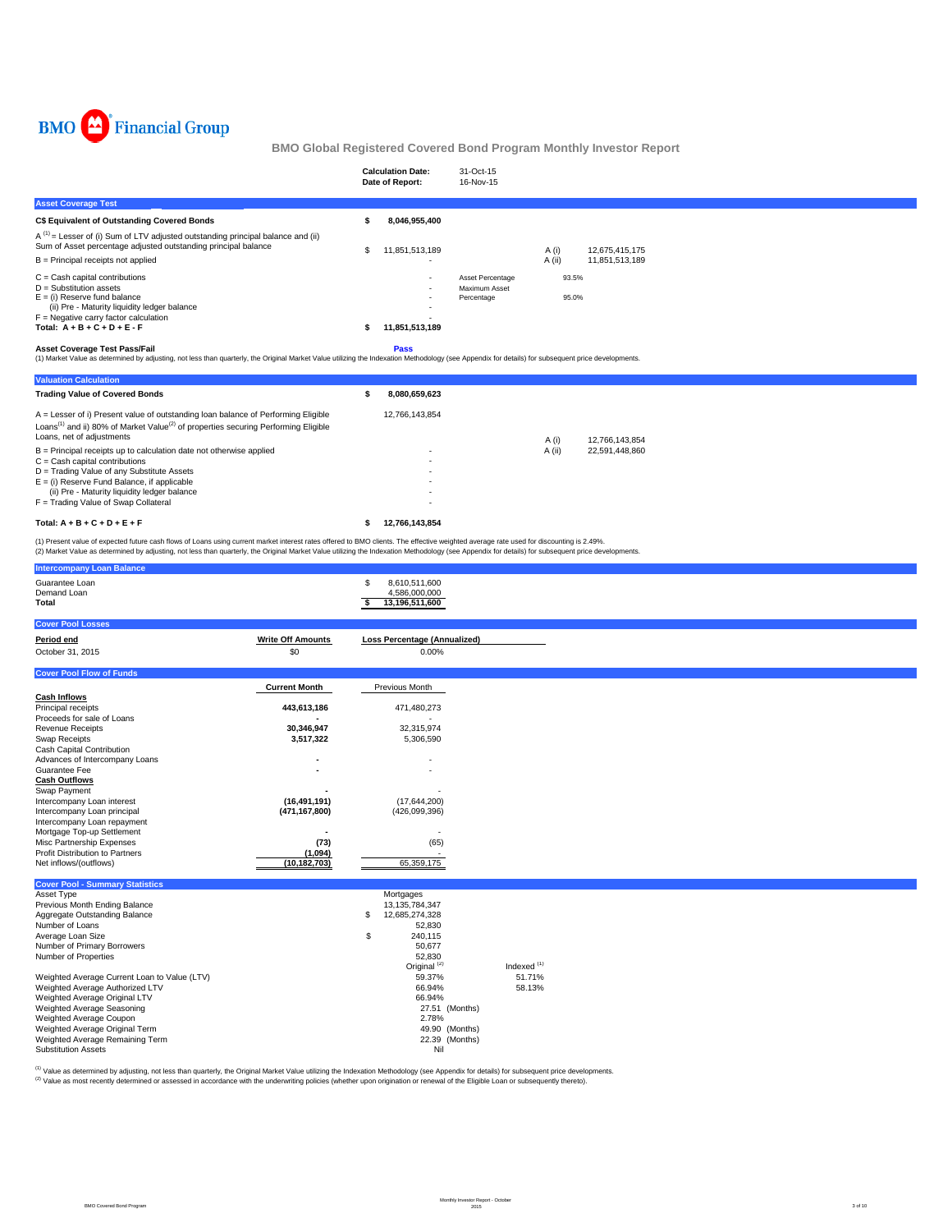

|                                                                                                                                                                                                                                                                                                                                                                                                                                                                            | <b>Calculation Date:</b><br>Date of Report: | 31-Oct-15<br>16-Nov-15                          |                |                |  |  |
|----------------------------------------------------------------------------------------------------------------------------------------------------------------------------------------------------------------------------------------------------------------------------------------------------------------------------------------------------------------------------------------------------------------------------------------------------------------------------|---------------------------------------------|-------------------------------------------------|----------------|----------------|--|--|
| <b>Asset Coverage Test</b>                                                                                                                                                                                                                                                                                                                                                                                                                                                 |                                             |                                                 |                |                |  |  |
| <b>C\$ Equivalent of Outstanding Covered Bonds</b>                                                                                                                                                                                                                                                                                                                                                                                                                         | 8,046,955,400                               |                                                 |                |                |  |  |
| $A^{(1)}$ = Lesser of (i) Sum of LTV adjusted outstanding principal balance and (ii)<br>Sum of Asset percentage adjusted outstanding principal balance                                                                                                                                                                                                                                                                                                                     | 11,851,513,189                              |                                                 | A (i)          | 12,675,415,175 |  |  |
| $B =$ Principal receipts not applied                                                                                                                                                                                                                                                                                                                                                                                                                                       |                                             |                                                 | A (ii)         | 11,851,513,189 |  |  |
| $C =$ Cash capital contributions<br>$D =$ Substitution assets<br>$E =$ (i) Reserve fund balance<br>(ii) Pre - Maturity liquidity ledger balance<br>$F =$ Negative carry factor calculation<br>Total: $A + B + C + D + E - F$<br><b>Asset Coverage Test Pass/Fail</b><br>(1) Market Value as determined by adjusting, not less than quarterly, the Original Market Value utilizing the Indexation Methodology (see Appendix for details) for subsequent price developments. | 11,851,513,189<br><b>Pass</b>               | Asset Percentage<br>Maximum Asset<br>Percentage | 93.5%<br>95.0% |                |  |  |
| <b>Valuation Calculation</b>                                                                                                                                                                                                                                                                                                                                                                                                                                               |                                             |                                                 |                |                |  |  |
| <b>Trading Value of Covered Bonds</b>                                                                                                                                                                                                                                                                                                                                                                                                                                      | 8,080,659,623                               |                                                 |                |                |  |  |
| A = Lesser of i) Present value of outstanding loan balance of Performing Eligible<br>Loans <sup>(1)</sup> and ii) 80% of Market Value <sup>(2)</sup> of properties securing Performing Eligible<br>Loane, not of adjustments                                                                                                                                                                                                                                               | 12,766,143,854                              |                                                 |                |                |  |  |

| Total: $A + B + C + D + E + F$                                        | 12.766.143.854 |        |                |
|-----------------------------------------------------------------------|----------------|--------|----------------|
| $F =$ Trading Value of Swap Collateral                                | ۰              |        |                |
| (ii) Pre - Maturity liquidity ledger balance                          |                |        |                |
| $E =$ (i) Reserve Fund Balance, if applicable                         | ۰              |        |                |
| D = Trading Value of any Substitute Assets                            | ٠              |        |                |
| $C =$ Cash capital contributions                                      | ٠              |        |                |
| $B =$ Principal receipts up to calculation date not otherwise applied |                | A (ii) | 22.591.448.860 |
| Loans, net of adjustments                                             |                | A (i)  | 12.766.143.854 |
|                                                                       |                |        |                |

(1) Present value of expected future cash flows of Loans using current market interest rates offered to BMO clients. The effective weighted average rate used for discounting is 2.49%.<br>(2) Market Value as determined by adju

| <b>Intercompany Loan Balance</b>                                    |                          |                                                              |                         |  |  |
|---------------------------------------------------------------------|--------------------------|--------------------------------------------------------------|-------------------------|--|--|
| Guarantee Loan<br>Demand Loan<br>Total                              |                          | \$<br>8,610,511,600<br>4,586,000,000<br>13,196,511,600<br>s. |                         |  |  |
| <b>Cover Pool Losses</b>                                            |                          |                                                              |                         |  |  |
| Period end                                                          | <b>Write Off Amounts</b> | <b>Loss Percentage (Annualized)</b>                          |                         |  |  |
| October 31, 2015                                                    | \$0                      | 0.00%                                                        |                         |  |  |
| <b>Cover Pool Flow of Funds</b>                                     |                          |                                                              |                         |  |  |
|                                                                     | <b>Current Month</b>     | Previous Month                                               |                         |  |  |
| <b>Cash Inflows</b>                                                 |                          |                                                              |                         |  |  |
| Principal receipts                                                  | 443,613,186              | 471,480,273                                                  |                         |  |  |
| Proceeds for sale of Loans                                          |                          |                                                              |                         |  |  |
| <b>Revenue Receipts</b>                                             | 30,346,947               | 32,315,974                                                   |                         |  |  |
| Swap Receipts                                                       | 3,517,322                | 5,306,590                                                    |                         |  |  |
| Cash Capital Contribution                                           |                          |                                                              |                         |  |  |
| Advances of Intercompany Loans<br>Guarantee Fee                     |                          |                                                              |                         |  |  |
| <b>Cash Outflows</b>                                                |                          |                                                              |                         |  |  |
| Swap Payment                                                        |                          |                                                              |                         |  |  |
| Intercompany Loan interest                                          | (16, 491, 191)           | (17, 644, 200)                                               |                         |  |  |
| Intercompany Loan principal                                         | (471, 167, 800)          | (426,099,396)                                                |                         |  |  |
| Intercompany Loan repayment                                         |                          |                                                              |                         |  |  |
| Mortgage Top-up Settlement                                          |                          |                                                              |                         |  |  |
| Misc Partnership Expenses<br><b>Profit Distribution to Partners</b> | (73)<br>(1,094)          | (65)                                                         |                         |  |  |
| Net inflows/(outflows)                                              | (10, 182, 703)           | 65,359,175                                                   |                         |  |  |
|                                                                     |                          |                                                              |                         |  |  |
| <b>Cover Pool - Summary Statistics</b>                              |                          |                                                              |                         |  |  |
| Asset Type<br>Previous Month Ending Balance                         |                          | Mortgages<br>13, 135, 784, 347                               |                         |  |  |
| Aggregate Outstanding Balance                                       |                          | 12,685,274,328<br>S                                          |                         |  |  |
| Number of Loans                                                     |                          | 52,830                                                       |                         |  |  |
| Average Loan Size                                                   |                          | 240,115<br>\$                                                |                         |  |  |
| Number of Primary Borrowers                                         |                          | 50,677                                                       |                         |  |  |
| Number of Properties                                                |                          | 52,830                                                       |                         |  |  |
| Weighted Average Current Loan to Value (LTV)                        |                          | Original <sup>(2)</sup><br>59.37%                            | Indexed $(1)$<br>51.71% |  |  |
| Weighted Average Authorized LTV                                     |                          | 66.94%                                                       | 58.13%                  |  |  |
| Weighted Average Original LTV                                       |                          | 66.94%                                                       |                         |  |  |
| Weighted Average Seasoning                                          |                          |                                                              | 27.51 (Months)          |  |  |
| Weighted Average Coupon                                             |                          | 2.78%                                                        |                         |  |  |
| Weighted Average Original Term                                      |                          |                                                              | 49.90 (Months)          |  |  |
| Weighted Average Remaining Term                                     |                          |                                                              | 22.39 (Months)          |  |  |
| <b>Substitution Assets</b>                                          |                          | Nil                                                          |                         |  |  |

<sup>(1)</sup> Value as determined by adjusting, not less than quarterly, the Original Market Value utilizing the Indexation Methodology (see Appendix for details) for subsequent price developments.<br><sup>(2)</sup> Value as most recently det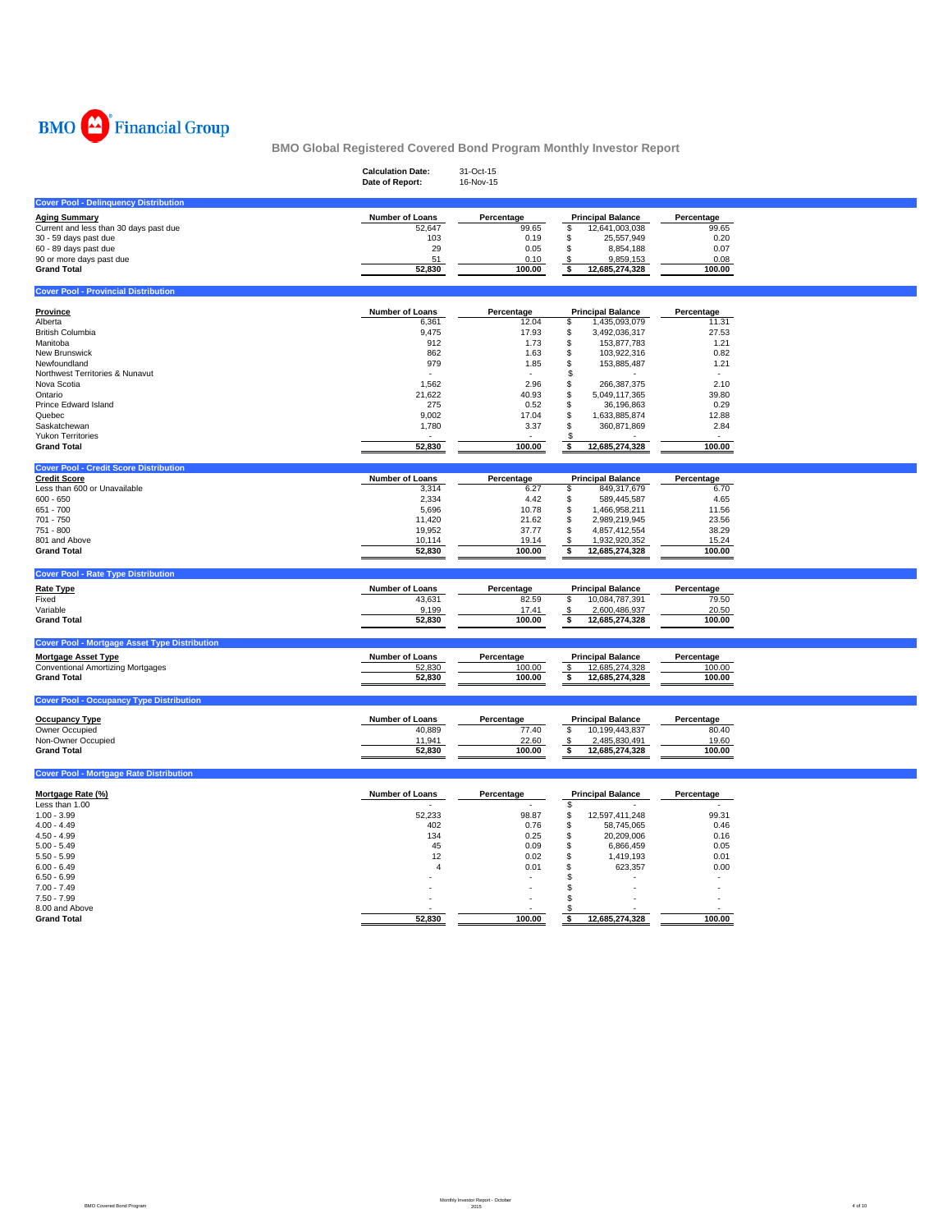

|                                                      | <b>Calculation Date:</b><br>Date of Report: | 31-Oct-15<br>16-Nov-15 |                          |            |
|------------------------------------------------------|---------------------------------------------|------------------------|--------------------------|------------|
| <b>Cover Pool - Delinquency Distribution</b>         |                                             |                        |                          |            |
| <b>Aging Summary</b>                                 | Number of Loans                             | Percentage             | <b>Principal Balance</b> | Percentage |
| Current and less than 30 days past due               | 52,647                                      | 99.65                  | 12,641,003,038<br>\$     | 99.65      |
| 30 - 59 days past due                                | 103                                         | 0.19                   | \$<br>25,557,949         | 0.20       |
|                                                      | 29                                          | 0.05                   | \$                       | 0.07       |
| 60 - 89 days past due                                |                                             |                        | 8,854,188                |            |
| 90 or more days past due                             | 51                                          | 0.10                   | 9,859,153<br>\$          | 0.08       |
| <b>Grand Total</b>                                   | 52,830                                      | 100.00                 | \$<br>12,685,274,328     | 100.00     |
| <b>Cover Pool - Provincial Distribution</b>          |                                             |                        |                          |            |
| <b>Province</b>                                      | Number of Loans                             | Percentage             | <b>Principal Balance</b> | Percentage |
| Alberta                                              | 6,361                                       | 12.04                  | \$<br>1,435,093,079      | 11.31      |
| <b>British Columbia</b>                              | 9,475                                       | 17.93                  | \$<br>3,492,036,317      | 27.53      |
| Manitoba                                             | 912                                         | 1.73                   | \$<br>153,877,783        | 1.21       |
| New Brunswick                                        | 862                                         | 1.63                   | \$<br>103,922,316        | 0.82       |
| Newfoundland                                         | 979                                         | 1.85                   | \$<br>153,885,487        | 1.21       |
| Northwest Territories & Nunavut                      |                                             |                        | \$                       |            |
| Nova Scotia                                          | 1,562                                       | 2.96                   | 266,387,375<br>\$        | 2.10       |
| Ontario                                              | 21,622                                      | 40.93                  | 5,049,117,365<br>\$      | 39.80      |
| Prince Edward Island                                 |                                             |                        |                          | 0.29       |
|                                                      | 275                                         | 0.52                   | \$<br>36,196,863         |            |
| Quebec                                               | 9,002                                       | 17.04                  | \$<br>1,633,885,874      | 12.88      |
| Saskatchewan                                         | 1,780                                       | 3.37                   | \$<br>360,871,869        | 2.84       |
| <b>Yukon Territories</b>                             |                                             |                        |                          |            |
| <b>Grand Total</b>                                   | 52,830                                      | 100.00                 | 12,685,274,328<br>\$     | 100.00     |
| <b>Cover Pool - Credit Score Distribution</b>        |                                             |                        |                          |            |
| <b>Credit Score</b>                                  | Number of Loans                             | Percentage             | <b>Principal Balance</b> | Percentage |
| Less than 600 or Unavailable                         | 3,314                                       | 6.27                   | 849,317,679<br>\$        | 6.70       |
| $600 - 650$                                          | 2,334                                       | 4.42                   | \$<br>589,445,587        | 4.65       |
| 651 - 700                                            | 5,696                                       | 10.78                  | \$<br>1,466,958,211      | 11.56      |
| 701 - 750                                            | 11,420                                      | 21.62                  | \$<br>2,989,219,945      | 23.56      |
| 751 - 800                                            | 19,952                                      | 37.77                  | \$<br>4,857,412,554      | 38.29      |
| 801 and Above                                        | 10,114                                      | 19.14                  | \$<br>1,932,920,352      | 15.24      |
| <b>Grand Total</b>                                   | 52,830                                      | 100.00                 | 12,685,274,328<br>\$     | 100.00     |
| <b>Cover Pool - Rate Type Distribution</b>           |                                             |                        |                          |            |
|                                                      |                                             |                        |                          |            |
| <b>Rate Type</b>                                     | <b>Number of Loans</b>                      | Percentage             | <b>Principal Balance</b> | Percentage |
| Fixed                                                | 43,631                                      | 82.59                  | 10,084,787,391<br>\$     | 79.50      |
| Variable                                             | 9,199                                       | 17.41                  | 2,600,486,937<br>\$      | 20.50      |
| <b>Grand Total</b>                                   | 52,830                                      | 100.00                 | \$<br>12,685,274,328     | 100.00     |
|                                                      |                                             |                        |                          |            |
| <b>Cover Pool - Mortgage Asset Type Distribution</b> |                                             |                        |                          |            |
| <b>Mortgage Asset Type</b>                           | Number of Loans                             | Percentage             | <b>Principal Balance</b> | Percentage |
| Conventional Amortizing Mortgages                    | 52,830                                      | 100.00                 | 12,685,274,328<br>\$     | 100.00     |
| <b>Grand Total</b>                                   | 52,830                                      | 100.00                 | 12,685,274,328<br>\$     | 100.00     |
|                                                      |                                             |                        |                          |            |
| <b>Cover Pool - Occupancy Type Distribution</b>      |                                             |                        |                          |            |
| <b>Occupancy Type</b>                                | Number of Loans                             | Percentage             | <b>Principal Balance</b> | Percentage |
| Owner Occupied                                       | 40,889                                      | 77.40                  | \$<br>10,199,443,837     | 80.40      |
| Non-Owner Occupied                                   | 11,941                                      | 22.60                  | 2,485,830,491<br>\$      | 19.60      |
| <b>Grand Total</b>                                   | 52,830                                      | 100.00                 | 12,685,274,328<br>\$     | 100.00     |
|                                                      |                                             |                        |                          |            |
| <b>Cover Pool - Mortgage Rate Distribution</b>       |                                             |                        |                          |            |
| Mortgage Rate (%)                                    | Number of Loans                             | Percentage             | <b>Principal Balance</b> | Percentage |
| Less than 1.00                                       |                                             |                        | \$                       |            |
| $1.00 - 3.99$                                        | 52,233                                      | 98.87                  | 12,597,411,248<br>\$     | 99.31      |
| $4.00 - 4.49$                                        | 402                                         | 0.76                   | \$<br>58,745,065         | 0.46       |
| $4.50 - 4.99$                                        | 134                                         | 0.25                   | \$<br>20,209,006         | 0.16       |
| $5.00 - 5.49$                                        | 45                                          | 0.09                   | \$<br>6,866,459          | 0.05       |
|                                                      |                                             |                        |                          |            |
| $5.50 - 5.99$                                        | 12                                          | 0.02                   | \$<br>1,419,193          | 0.01       |
| $6.00 - 6.49$                                        | $\overline{4}$                              | 0.01                   | \$<br>623,357            | 0.00       |
| $6.50 - 6.99$                                        |                                             |                        | \$                       |            |
| $7.00 - 7.49$                                        |                                             |                        | \$                       |            |
| $7.50 - 7.99$                                        |                                             |                        | \$                       |            |
| 8.00 and Above                                       |                                             |                        | £.                       |            |
| <b>Grand Total</b>                                   | 52.830                                      | 100.00                 | 12,685,274,328<br>\$     | 100.00     |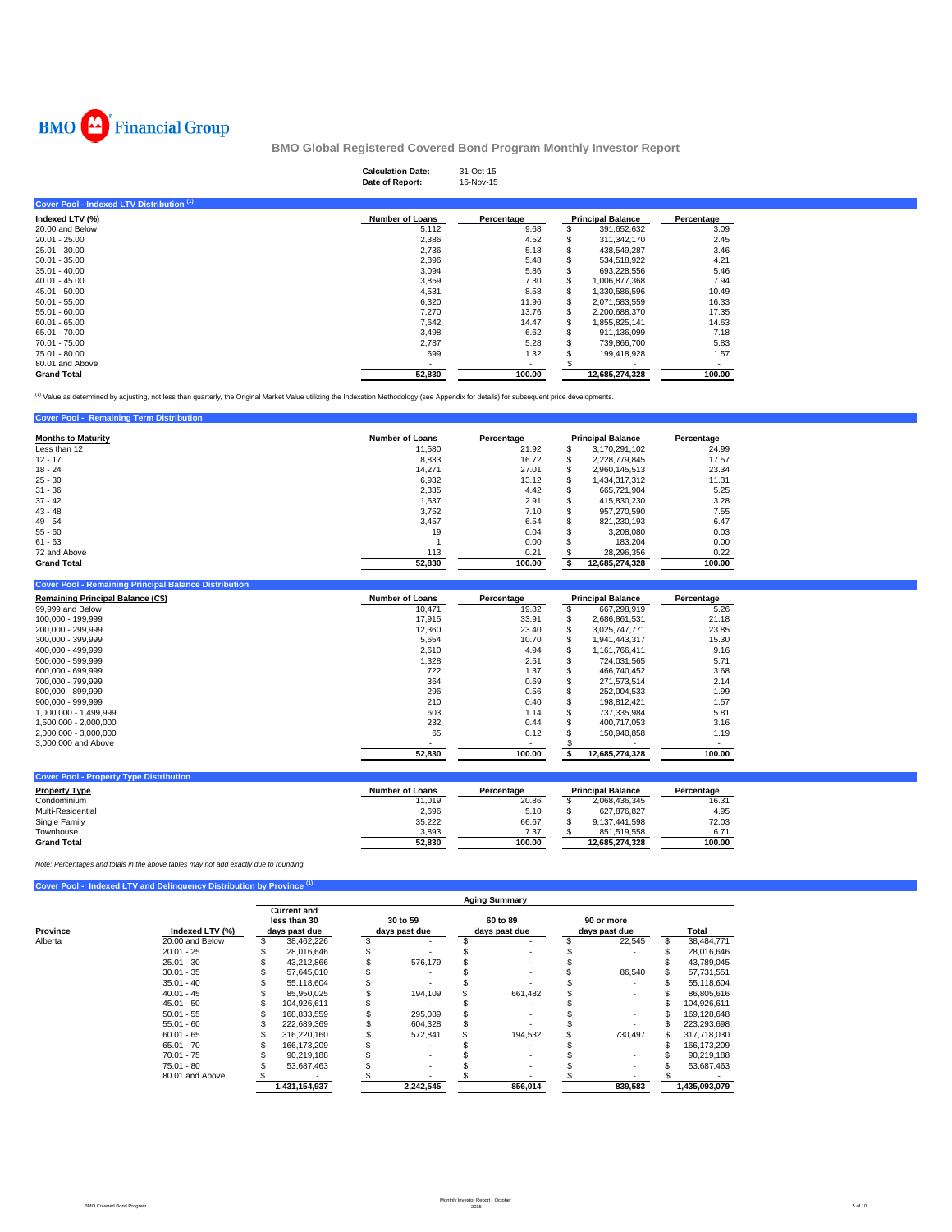

# **Calculation Date:** 31-Oct-15 **Date of Report:** 16-Nov-15

| Cover Pool - Indexed LTV Distribution (1) |                        |            |                          |            |
|-------------------------------------------|------------------------|------------|--------------------------|------------|
| Indexed LTV (%)                           | <b>Number of Loans</b> | Percentage | <b>Principal Balance</b> | Percentage |
| 20.00 and Below                           | 5,112                  | 9.68       | 391,652,632              | 3.09       |
| $20.01 - 25.00$                           | 2,386                  | 4.52       | 311.342.170              | 2.45       |
| $25.01 - 30.00$                           | 2,736                  | 5.18       | 438.549.287              | 3.46       |
| $30.01 - 35.00$                           | 2,896                  | 5.48       | 534.518.922              | 4.21       |
| $35.01 - 40.00$                           | 3,094                  | 5.86       | 693.228.556              | 5.46       |
| $40.01 - 45.00$                           | 3,859                  | 7.30       | 1.006.877.368            | 7.94       |
| $45.01 - 50.00$                           | 4,531                  | 8.58       | 1,330,586,596            | 10.49      |
| $50.01 - 55.00$                           | 6,320                  | 11.96      | 2,071,583,559            | 16.33      |
| $55.01 - 60.00$                           | 7,270                  | 13.76      | 2,200,688,370            | 17.35      |
| $60.01 - 65.00$                           | 7,642                  | 14.47      | 1,855,825,141            | 14.63      |
| 65.01 - 70.00                             | 3,498                  | 6.62       | 911.136.099              | 7.18       |
| 70.01 - 75.00                             | 2,787                  | 5.28       | 739,866,700              | 5.83       |
| 75.01 - 80.00                             | 699                    | 1.32       | 199,418,928              | 1.57       |
| 80.01 and Above                           |                        |            |                          |            |
| <b>Grand Total</b>                        | 52,830                 | 100.00     | 12.685.274.328           | 100.00     |

<sup>(1)</sup> Value as determined by adjusting, not less than quarterly, the Original Market Value utilizing the Indexation Methodology (see Appendix for details) for subsequent price developments.

| <b>Cover Pool - Remaining Term Distribution</b> |                        |            |   |                          |            |
|-------------------------------------------------|------------------------|------------|---|--------------------------|------------|
| <b>Months to Maturity</b>                       | <b>Number of Loans</b> | Percentage |   | <b>Principal Balance</b> | Percentage |
| Less than 12                                    | 11.580                 | 21.92      |   | 3.170.291.102            | 24.99      |
| $12 - 17$                                       | 8,833                  | 16.72      | ъ | 2.228.779.845            | 17.57      |
| $18 - 24$                                       | 14.271                 | 27.01      |   | 2.960.145.513            | 23.34      |
| $25 - 30$                                       | 6,932                  | 13.12      | л | 1.434.317.312            | 11.31      |
| $31 - 36$                                       | 2.335                  | 4.42       | æ | 665.721.904              | 5.25       |
| $37 - 42$                                       | 1,537                  | 2.91       |   | 415.830.230              | 3.28       |
| $43 - 48$                                       | 3.752                  | 7.10       |   | 957.270.590              | 7.55       |
| $49 - 54$                                       | 3.457                  | 6.54       |   | 821.230.193              | 6.47       |
| $55 - 60$                                       | 19                     | 0.04       |   | 3,208,080                | 0.03       |
| $61 - 63$                                       |                        | 0.00       |   | 183.204                  | 0.00       |
| 72 and Above                                    | 113                    | 0.21       |   | 28,296,356               | 0.22       |
| <b>Grand Total</b>                              | 52.830                 | 100.00     |   | 12.685.274.328           | 100.00     |

| <b>Cover Pool - Remaining Principal Balance Distribution</b> |                        |                          |                          |            |
|--------------------------------------------------------------|------------------------|--------------------------|--------------------------|------------|
| <b>Remaining Principal Balance (C\$)</b>                     | <b>Number of Loans</b> | Percentage               | <b>Principal Balance</b> | Percentage |
| 99,999 and Below                                             | 10.471                 | 19.82                    | 667.298.919              | 5.26       |
| 100.000 - 199.999                                            | 17.915                 | 33.91                    | 2.686.861.531            | 21.18      |
| 200.000 - 299.999                                            | 12,360                 | 23.40                    | 3,025,747,771            | 23.85      |
| 300.000 - 399.999                                            | 5.654                  | 10.70                    | 1.941.443.317            | 15.30      |
| 400.000 - 499.999                                            | 2,610                  | 4.94                     | 1.161.766.411            | 9.16       |
| 500.000 - 599.999                                            | 1,328                  | 2.51                     | 724.031.565              | 5.71       |
| 600.000 - 699.999                                            | 722                    | 1.37                     | 466.740.452              | 3.68       |
| 700.000 - 799.999                                            | 364                    | 0.69                     | 271.573.514              | 2.14       |
| 800.000 - 899.999                                            | 296                    | 0.56                     | 252.004.533              | 1.99       |
| 900.000 - 999.999                                            | 210                    | 0.40                     | 198.812.421              | 1.57       |
| 1.000.000 - 1.499.999                                        | 603                    | 1.14                     | 737.335.984              | 5.81       |
| 1.500.000 - 2.000.000                                        | 232                    | 0.44                     | 400.717.053              | 3.16       |
| 2.000.000 - 3.000.000                                        | 65                     | 0.12                     | 150.940.858              | 1.19       |
| 3,000,000 and Above                                          |                        | $\overline{\phantom{a}}$ |                          |            |
|                                                              | 52,830                 | 100.00                   | 12.685.274.328           | 100.00     |
|                                                              |                        |                          |                          |            |

| Number of Loans | Percentage |                | Percentage               |
|-----------------|------------|----------------|--------------------------|
| 11.019          | 20.86      | 2.068.436.345  | 16.31                    |
| 2.696           | 5.10       | 627.876.827    | 4.95                     |
| 35,222          | 66.67      | 9.137.441.598  | 72.03                    |
| 3,893           | 7.37       | 851,519,558    | 6.7'                     |
| 52.830          | 100.00     | 12.685.274.328 | 100.00                   |
|                 |            |                | <b>Principal Balance</b> |

*Note: Percentages and totals in the above tables may not add exactly due to rounding.*

|  | Cover Pool - Indexed LTV and Delinquency Distribution by Province (1) |  |
|--|-----------------------------------------------------------------------|--|
|  |                                                                       |  |

|          |                 | <b>Aging Summary</b>                                |               |                           |           |                           |         |                             |         |     |               |  |
|----------|-----------------|-----------------------------------------------------|---------------|---------------------------|-----------|---------------------------|---------|-----------------------------|---------|-----|---------------|--|
| Province | Indexed LTV (%) | <b>Current and</b><br>less than 30<br>days past due |               | 30 to 59<br>days past due |           | 60 to 89<br>days past due |         | 90 or more<br>days past due |         |     | Total         |  |
| Alberta  | 20.00 and Below | \$                                                  | 38,462,226    |                           |           |                           |         |                             | 22,545  | \$. | 38,484,771    |  |
|          | $20.01 - 25$    |                                                     | 28,016,646    |                           |           |                           |         |                             |         |     | 28,016,646    |  |
|          | $25.01 - 30$    |                                                     | 43.212.866    |                           | 576,179   |                           |         |                             |         |     | 43,789,045    |  |
|          | $30.01 - 35$    |                                                     | 57,645,010    |                           |           |                           |         |                             | 86,540  |     | 57,731,551    |  |
|          | $35.01 - 40$    |                                                     | 55,118,604    |                           |           |                           |         |                             |         |     | 55,118,604    |  |
|          | $40.01 - 45$    |                                                     | 85,950,025    |                           | 194,109   |                           | 661.482 |                             |         |     | 86,805,616    |  |
|          | $45.01 - 50$    |                                                     | 104.926.611   |                           |           |                           |         |                             |         |     | 104.926.611   |  |
|          | $50.01 - 55$    |                                                     | 168.833.559   |                           | 295,089   |                           |         |                             |         |     | 169,128,648   |  |
|          | $55.01 - 60$    |                                                     | 222.689.369   |                           | 604.328   |                           |         |                             |         |     | 223,293,698   |  |
|          | $60.01 - 65$    |                                                     | 316,220,160   |                           | 572,841   |                           | 194,532 |                             | 730.497 |     | 317,718,030   |  |
|          | $65.01 - 70$    |                                                     | 166.173.209   |                           |           |                           |         |                             |         |     | 166,173,209   |  |
|          | $70.01 - 75$    |                                                     | 90,219,188    |                           |           |                           |         |                             |         |     | 90,219,188    |  |
|          | $75.01 - 80$    |                                                     | 53,687,463    |                           |           |                           |         |                             |         |     | 53,687,463    |  |
|          | 80.01 and Above |                                                     |               |                           |           |                           |         |                             |         |     |               |  |
|          |                 |                                                     | 1,431,154,937 |                           | 2,242,545 | 856,014                   |         |                             | 839,583 |     | 1,435,093,079 |  |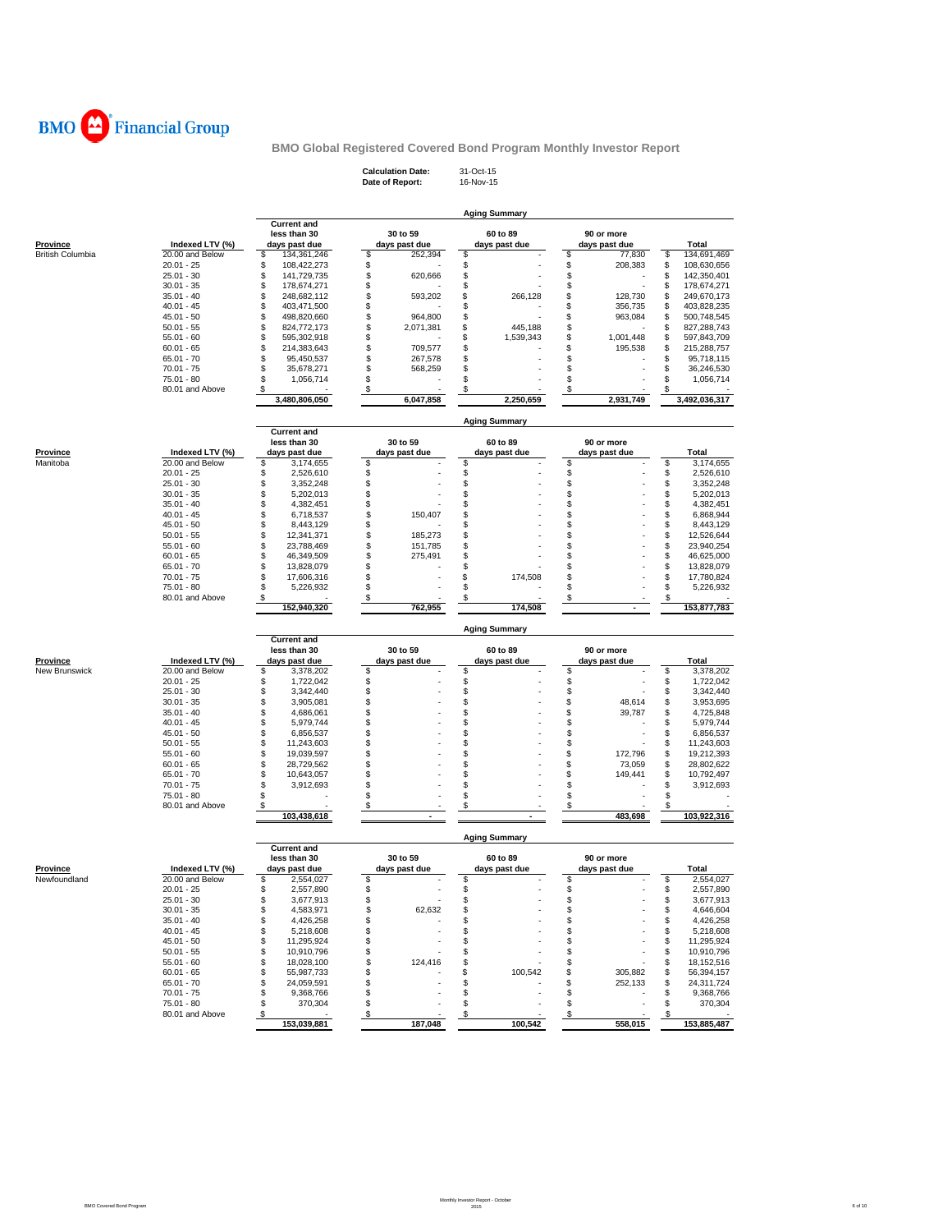

**Calculation Date:** 31-Oct-15 **Date of Report:** 16-Nov-15

|                                            |                                    |                                      |                                | <b>Aging Summary</b>      |                               |                            |
|--------------------------------------------|------------------------------------|--------------------------------------|--------------------------------|---------------------------|-------------------------------|----------------------------|
|                                            |                                    | <b>Current and</b><br>less than 30   | 30 to 59                       | 60 to 89                  | 90 or more                    |                            |
| <b>Province</b><br><b>British Columbia</b> | Indexed LTV (%)<br>20.00 and Below | days past due<br>\$<br>134, 361, 246 | days past due<br>\$<br>252,394 | days past due<br>\$       | days past due<br>\$<br>77,830 | Total<br>\$<br>134,691,469 |
|                                            | $20.01 - 25$                       | \$<br>108,422,273                    | \$                             | \$                        | \$<br>208,383                 | \$<br>108,630,656          |
|                                            | $25.01 - 30$                       | \$<br>141,729,735                    | \$<br>620,666                  | \$                        | \$                            | \$<br>142,350,401          |
|                                            |                                    | \$                                   |                                | \$                        | \$                            | 178,674,271                |
|                                            | $30.01 - 35$<br>$35.01 - 40$       | 178,674,271                          | \$                             |                           |                               | \$                         |
|                                            |                                    | \$<br>248,682,112                    | \$<br>593,202                  | \$<br>266,128             | \$<br>128,730                 | \$<br>249,670,173          |
|                                            | $40.01 - 45$                       | \$<br>403,471,500                    | \$                             | \$                        | \$<br>356,735                 | \$<br>403,828,235          |
|                                            | $45.01 - 50$                       | \$<br>498,820,660                    | \$<br>964,800                  | \$                        | \$<br>963,084                 | \$<br>500,748,545          |
|                                            | $50.01 - 55$                       | \$<br>824,772,173                    | \$<br>2,071,381                | \$<br>445,188             | \$                            | \$<br>827,288,743          |
|                                            | $55.01 - 60$                       | \$<br>595,302,918                    | \$                             | \$<br>1,539,343           | \$<br>1,001,448               | \$<br>597,843,709          |
|                                            | $60.01 - 65$                       | \$<br>214,383,643                    | \$<br>709,577                  | \$                        | \$<br>195,538                 | \$<br>215,288,757          |
|                                            | $65.01 - 70$                       | \$<br>95,450,537                     | \$<br>267,578                  | \$                        | \$                            | \$<br>95,718,115           |
|                                            | $70.01 - 75$                       | \$<br>35,678,271                     | \$<br>568,259                  | \$                        | \$                            | \$<br>36,246,530           |
|                                            | 75.01 - 80                         | \$<br>1,056,714                      | \$                             | \$                        | \$                            | \$<br>1,056,714            |
|                                            | 80.01 and Above                    | \$<br>3,480,806,050                  | \$<br>6,047,858                | \$<br>2,250,659           | \$<br>2,931,749               | \$<br>3,492,036,317        |
|                                            |                                    |                                      |                                | <b>Aging Summary</b>      |                               |                            |
|                                            |                                    | <b>Current and</b>                   |                                |                           |                               |                            |
| <b>Province</b>                            | Indexed LTV (%)                    | less than 30<br>days past due        | 30 to 59<br>days past due      | 60 to 89<br>days past due | 90 or more<br>days past due   | Total                      |
| Manitoba                                   | 20.00 and Below                    | \$<br>3,174,655                      | \$                             | \$                        | \$                            | \$<br>3,174,655            |
|                                            | $20.01 - 25$                       | \$<br>2,526,610                      | \$                             | \$                        | \$                            | \$<br>2,526,610            |
|                                            | $25.01 - 30$                       | \$<br>3,352,248                      | \$                             | \$                        | \$                            | \$<br>3,352,248            |
|                                            | $30.01 - 35$                       | \$                                   | \$                             | \$                        | \$                            | \$                         |
|                                            |                                    | 5,202,013                            |                                |                           |                               | 5,202,013                  |
|                                            | $35.01 - 40$                       | \$<br>4,382,451                      | \$                             | \$                        | \$                            | \$<br>4,382,451            |
|                                            | $40.01 - 45$                       | \$<br>6,718,537                      | \$<br>150,407                  | \$                        | \$                            | \$<br>6,868,944            |
|                                            | $45.01 - 50$                       | \$<br>8,443,129                      | \$                             | \$                        | \$                            | \$<br>8,443,129            |
|                                            | $50.01 - 55$                       | \$<br>12,341,371                     | \$<br>185,273                  | \$                        | \$                            | \$<br>12,526,644           |
|                                            | $55.01 - 60$                       | \$<br>23,788,469                     | \$<br>151,785                  | \$                        | \$                            | \$<br>23,940,254           |
|                                            | $60.01 - 65$                       | \$<br>46,349,509                     | \$<br>275,491                  | \$                        | \$                            | \$<br>46,625,000           |
|                                            | $65.01 - 70$                       | \$<br>13,828,079                     | \$                             | \$                        | \$                            | \$<br>13,828,079           |
|                                            | $70.01 - 75$                       | \$<br>17,606,316                     | \$                             | \$<br>174,508             | \$                            | \$<br>17,780,824           |
|                                            | 75.01 - 80                         | \$<br>5,226,932                      | \$                             | \$                        | \$                            | \$<br>5,226,932            |
|                                            | 80.01 and Above                    | \$<br>152,940,320                    | \$                             | \$                        | \$                            | \$<br>153,877,783          |
|                                            |                                    |                                      | 762,955                        | 174,508                   |                               |                            |
|                                            |                                    | <b>Current and</b>                   |                                | <b>Aging Summary</b>      |                               |                            |
|                                            |                                    | less than 30                         | 30 to 59                       | 60 to 89                  | 90 or more                    |                            |
| <b>Province</b>                            | Indexed LTV (%)                    | days past due                        | days past due                  | days past due             | days past due                 | Total                      |
| New Brunswick                              | 20.00 and Below                    | \$<br>3,378,202                      | \$                             | \$                        | \$                            | \$<br>3,378,202            |
|                                            | $20.01 - 25$                       | \$<br>1,722,042                      | \$                             | \$                        | \$                            | \$<br>1,722,042            |
|                                            | $25.01 - 30$                       | \$<br>3,342,440                      | \$                             | \$                        | \$                            | \$<br>3,342,440            |
|                                            | $30.01 - 35$                       | \$<br>3,905,081                      | \$                             | \$                        | \$<br>48,614                  | \$<br>3,953,695            |
|                                            | $35.01 - 40$                       | \$<br>4,686,061                      | \$                             | \$                        | \$<br>39,787                  | \$<br>4,725,848            |
|                                            | $40.01 - 45$                       | \$<br>5,979,744                      | \$                             | \$                        | \$                            | \$<br>5,979,744            |
|                                            | $45.01 - 50$                       | \$<br>6,856,537                      | \$                             | \$                        | \$                            | \$<br>6,856,537            |
|                                            | $50.01 - 55$                       | \$<br>11,243,603                     | \$                             | \$                        | \$                            | \$<br>11,243,603           |
|                                            | $55.01 - 60$                       | \$<br>19,039,597                     | \$                             | \$                        | \$<br>172,796                 | \$<br>19,212,393           |
|                                            | $60.01 - 65$                       | \$<br>28,729,562                     | \$                             | \$                        | \$<br>73,059                  | \$<br>28,802,622           |
|                                            | $65.01 - 70$                       | \$<br>10,643,057                     | \$                             | \$                        | \$<br>149,441                 | \$<br>10,792,497           |
|                                            | $70.01 - 75$                       | \$<br>3,912,693                      | \$                             | \$                        | \$                            | \$<br>3,912,693            |
|                                            | $75.01 - 80$                       | \$                                   | \$                             | \$                        | \$                            | \$                         |
|                                            | 80.01 and Above                    | \$.<br>103,438,618                   | \$                             | \$                        | \$<br>483.698                 | s<br>103,922,316           |
|                                            |                                    |                                      |                                | <b>Aging Summary</b>      |                               |                            |
|                                            |                                    | <b>Current and</b><br>less than 30   | 30 to 59                       | 60 to 89                  | 90 or more                    |                            |
| <b>Province</b>                            | Indexed LTV (%)                    | days past due                        | days past due                  | days past due             | days past due                 | <b>Total</b>               |
| Newfoundland                               | 20.00 and Below                    | \$<br>2,554,027                      | \$                             | \$                        | \$                            | 2,554,027<br>\$            |
|                                            | 20.01 - 25                         | \$<br>2,557,890                      | \$                             | \$                        | S                             | \$<br>2,557,890            |
|                                            | $25.01 - 30$                       | \$<br>3,677,913                      | \$                             | \$                        | \$                            | \$<br>3,677,913            |
|                                            | $30.01 - 35$                       | \$                                   | \$                             | \$                        | \$                            | \$<br>4,646,604            |
|                                            |                                    | 4,583,971                            | 62,632                         |                           |                               |                            |
|                                            | $35.01 - 40$                       | 4,426,258<br>\$                      | \$                             | S                         | \$                            | \$<br>4,426,258            |
|                                            | $40.01 - 45$                       | \$<br>5,218,608                      | \$                             | \$                        | \$                            | \$<br>5,218,608            |
|                                            | $45.01 - 50$                       | \$<br>11,295,924                     | \$                             | \$                        | \$                            | \$<br>11,295,924           |
|                                            | $50.01 - 55$                       | \$<br>10,910,796                     | \$                             | \$                        | \$                            | \$<br>10,910,796           |
|                                            | $55.01 - 60$                       | 18,028,100<br>\$                     | \$<br>124,416                  | \$                        | \$                            | \$<br>18,152,516           |
|                                            | $60.01 - 65$                       | \$<br>55,987,733                     | \$                             | 100,542<br>\$             | \$<br>305,882                 | \$<br>56,394,157           |
|                                            | $65.01 - 70$                       | \$<br>24,059,591                     | \$                             | \$                        | \$<br>252,133                 | \$<br>24,311,724           |
|                                            | $70.01 - 75$                       | \$<br>9,368,766                      | \$                             | \$                        | \$                            | 9,368,766<br>\$            |
|                                            | $75.01 - 80$                       | \$<br>370,304                        | \$                             | \$                        | \$                            | \$<br>370,304              |
|                                            | 80.01 and Above                    | \$                                   | \$                             | \$                        | \$                            | \$                         |
|                                            |                                    | 153.039.881                          | 187,048                        | 100,542                   | 558,015                       | 153,885,487                |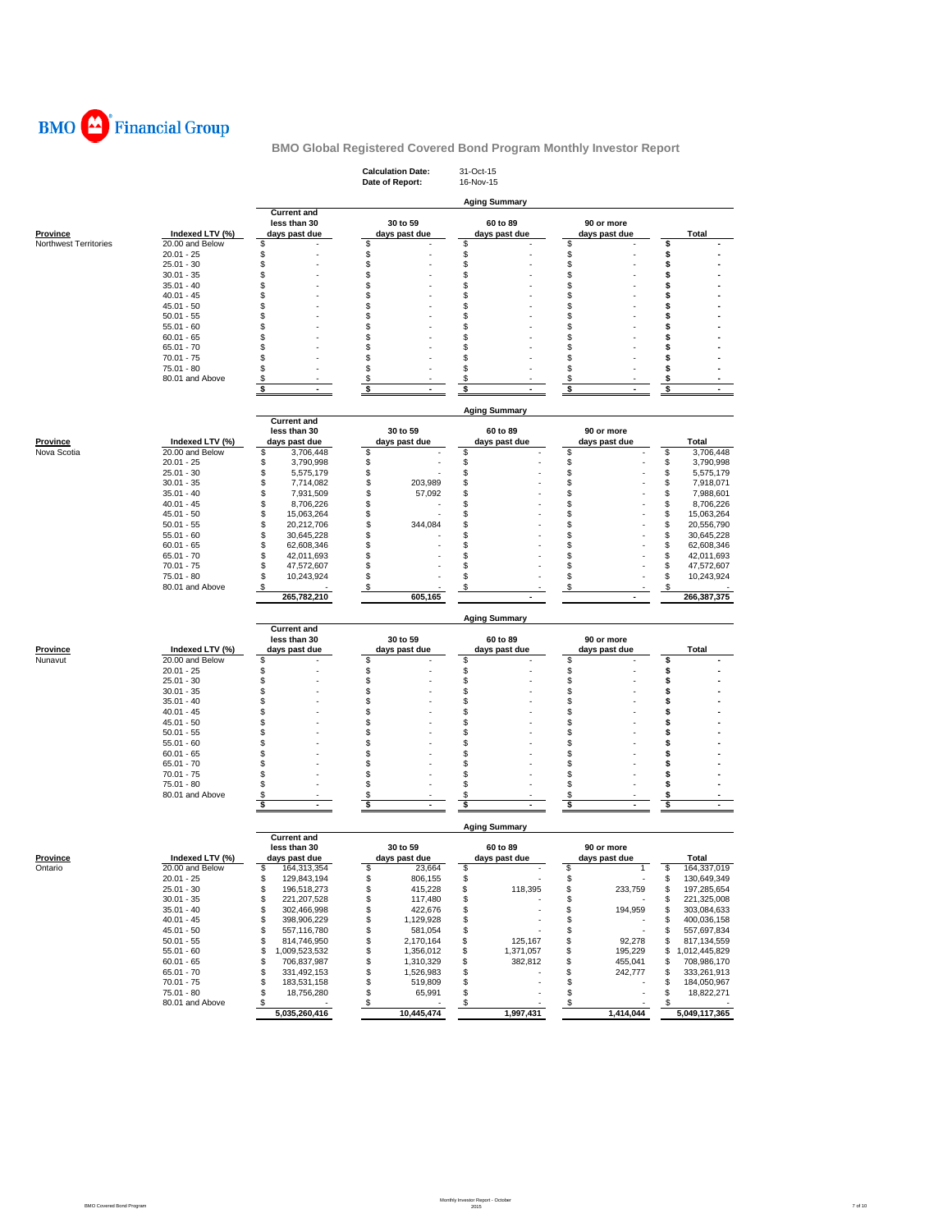

|                                |                                    |                                    | <b>Calculation Date:</b><br>Date of Report: | 31-Oct-15<br>16-Nov-15    |                             |                                       |
|--------------------------------|------------------------------------|------------------------------------|---------------------------------------------|---------------------------|-----------------------------|---------------------------------------|
|                                |                                    | <b>Current and</b>                 |                                             | <b>Aging Summary</b>      |                             |                                       |
| <b>Province</b>                | Indexed LTV (%)                    | less than 30<br>days past due      | 30 to 59<br>days past due                   | 60 to 89<br>days past due | 90 or more<br>days past due | Total                                 |
| Northwest Territories          | 20.00 and Below                    | \$                                 | \$                                          | \$                        | \$                          | \$                                    |
|                                | $20.01 - 25$                       | \$                                 | \$                                          | \$                        | \$                          | \$                                    |
|                                | $25.01 - 30$<br>$30.01 - 35$       | \$<br>\$                           | \$<br>\$                                    | \$<br>\$                  | \$<br>\$                    | \$<br>\$                              |
|                                | $35.01 - 40$                       | \$                                 | \$                                          | \$                        | \$                          | \$                                    |
|                                | $40.01 - 45$                       | \$                                 | \$                                          | \$                        | \$                          | \$                                    |
|                                | $45.01 - 50$                       | \$                                 | \$                                          | \$                        | \$                          | \$                                    |
|                                | $50.01 - 55$                       | \$                                 | \$                                          | S                         | \$                          | \$                                    |
|                                | $55.01 - 60$                       | \$                                 | \$                                          | S                         | \$                          | \$                                    |
|                                | $60.01 - 65$                       | \$                                 | \$                                          | \$                        | \$                          | \$                                    |
|                                | $65.01 - 70$                       | S                                  | \$                                          | S                         | \$                          | \$                                    |
|                                | $70.01 - 75$                       | S                                  | \$                                          | \$                        | \$                          | \$                                    |
|                                | 75.01 - 80                         | \$                                 | \$                                          | S                         | \$                          | s                                     |
|                                | 80.01 and Above                    | \$                                 | \$                                          | S                         | \$                          | \$                                    |
|                                |                                    | \$                                 | \$                                          | s                         | \$                          | \$                                    |
|                                |                                    |                                    |                                             | <b>Aging Summary</b>      |                             |                                       |
|                                |                                    | <b>Current and</b>                 |                                             |                           |                             |                                       |
|                                |                                    | less than 30                       | 30 to 59                                    | 60 to 89                  | 90 or more<br>days past due |                                       |
| <b>Province</b><br>Nova Scotia | Indexed LTV (%)<br>20.00 and Below | days past due<br>\$<br>3,706,448   | days past due<br>\$                         | days past due<br>\$       | \$                          | Total<br>\$<br>3,706,448              |
|                                | $20.01 - 25$                       | \$<br>3,790,998                    | \$                                          | \$                        | \$                          | \$<br>3,790,998                       |
|                                | $25.01 - 30$                       | \$<br>5,575,179                    | \$                                          | \$                        | \$                          | \$<br>5,575,179                       |
|                                | $30.01 - 35$                       | \$<br>7,714,082                    | \$<br>203,989                               | \$                        | \$                          | \$<br>7,918,071                       |
|                                | $35.01 - 40$                       | \$<br>7,931,509                    | \$<br>57,092                                | \$                        | \$                          | \$<br>7,988,601                       |
|                                | $40.01 - 45$                       | \$<br>8,706,226                    | \$                                          | \$                        | \$                          | \$<br>8,706,226                       |
|                                | $45.01 - 50$                       | \$<br>15,063,264                   | \$                                          | \$                        | \$                          | \$<br>15,063,264                      |
|                                | $50.01 - 55$                       | \$<br>20,212,706                   | \$<br>344,084                               | \$                        | \$                          | \$<br>20,556,790                      |
|                                | $55.01 - 60$                       | \$<br>30,645,228                   | \$                                          | \$                        | \$                          | \$<br>30,645,228                      |
|                                | $60.01 - 65$                       | \$<br>62,608,346                   | \$                                          | \$                        | \$                          | \$<br>62,608,346                      |
|                                | $65.01 - 70$                       | \$<br>42,011,693                   | \$                                          | \$                        | \$                          | \$<br>42,011,693                      |
|                                | $70.01 - 75$                       | \$<br>47,572,607                   | \$                                          | \$                        | \$                          | 47,572,607<br>\$                      |
|                                | 75.01 - 80                         | \$<br>10,243,924                   | \$                                          | \$                        | \$                          | 10,243,924<br>\$                      |
|                                | 80.01 and Above                    | \$                                 | \$                                          | \$                        | \$                          | \$                                    |
|                                |                                    | 265,782,210                        | 605,165                                     |                           |                             | 266,387,375                           |
|                                |                                    |                                    |                                             |                           |                             |                                       |
|                                |                                    | <b>Current and</b><br>less than 30 | 30 to 59                                    | 60 to 89                  | 90 or more                  |                                       |
| <u>Province</u>                | Indexed LTV (%)                    | days past due                      | days past due                               | days past due             | days past due               | Total                                 |
| Nunavut                        | 20.00 and Below                    | \$                                 | \$                                          | \$                        | \$                          | \$                                    |
|                                | $20.01 - 25$                       | \$                                 | \$                                          | \$                        | \$                          | \$                                    |
|                                | $25.01 - 30$                       | \$                                 | \$                                          | \$                        | \$                          | \$                                    |
|                                | $30.01 - 35$                       | \$                                 | \$                                          | \$                        | \$                          | \$                                    |
|                                | $35.01 - 40$                       | \$                                 | \$                                          | \$                        | \$                          | \$                                    |
|                                | $40.01 - 45$                       | \$                                 | \$                                          | \$                        | \$                          | \$                                    |
|                                | $45.01 - 50$                       | \$                                 | \$                                          | S                         | \$                          | \$                                    |
|                                | $50.01 - 55$                       | \$                                 | \$                                          | S                         | \$                          | \$                                    |
|                                | $55.01 - 60$                       | \$                                 | \$                                          | \$                        | \$                          | \$                                    |
|                                | $60.01 - 65$                       | \$                                 | \$                                          | \$                        | \$                          | \$                                    |
|                                | $65.01 - 70$                       | \$                                 | \$                                          | \$                        | \$                          | \$                                    |
|                                | $70.01 - 75$                       | \$                                 | \$                                          | S                         | \$                          | \$                                    |
|                                | 75.01 - 80<br>80.01 and Above      | \$<br>\$                           | \$<br>\$                                    | \$<br>\$                  | \$<br>\$                    | \$                                    |
|                                |                                    | \$                                 | \$                                          | \$                        | \$                          | \$<br>\$                              |
|                                |                                    |                                    |                                             | <b>Aging Summary</b>      |                             |                                       |
|                                |                                    | <b>Current and</b>                 |                                             |                           |                             |                                       |
|                                |                                    | less than 30                       | 30 to 59                                    | 60 to 89                  | 90 or more                  |                                       |
| <u>Province</u>                | Indexed LTV (%)                    | days past due                      | days past due                               | days past due             | days past due               | <b>Total</b>                          |
| Ontario                        | 20.00 and Below                    | æ.<br>164,313,354                  | æ.<br>23,664                                | æ.                        | \$                          | s<br>164,337,019                      |
|                                | $20.01 - 25$                       | \$<br>129,843,194                  | \$<br>806,155                               | \$                        | \$                          | \$<br>130,649,349                     |
|                                | $25.01 - 30$<br>$30.01 - 35$       | \$<br>196,518,273                  | \$<br>415,228                               | 118,395<br>\$             | \$<br>233,759               | 197,285,654<br>\$                     |
|                                |                                    | \$<br>221,207,528                  | \$<br>117,480                               | \$                        | \$                          | 221,325,008<br>\$                     |
|                                | $35.01 - 40$                       | \$<br>302,466,998                  | \$<br>422,676                               | \$                        | \$<br>194,959               | \$<br>303,084,633                     |
|                                | $40.01 - 45$                       | \$<br>398,906,229                  | \$<br>1,129,928                             | \$                        | \$                          | 400,036,158<br>\$                     |
|                                | $45.01 - 50$                       | \$<br>557,116,780                  | \$<br>581,054                               | \$                        | \$                          | 557,697,834<br>\$                     |
|                                | $50.01 - 55$                       | \$<br>814,746,950                  | \$<br>2,170,164                             | 125,167<br>\$             | 92,278<br>\$                | 817,134,559<br>\$                     |
|                                | $55.01 - 60$                       | \$<br>1,009,523,532                | \$<br>1,356,012                             | 1,371,057<br>\$           | \$<br>195,229               | \$<br>1,012,445,829                   |
|                                | $60.01 - 65$                       | 706,837,987<br>\$                  | \$<br>1,310,329                             | 382,812<br>\$             | \$<br>455,041               | 708,986,170<br>\$                     |
|                                | $65.01 - 70$                       | \$<br>331,492,153                  | \$<br>1,526,983                             | \$                        | \$<br>242,777               | \$<br>333,261,913                     |
|                                | $70.01 - 75$<br>$75.01 - 80$       | \$<br>183,531,158<br>\$            | \$<br>519,809<br>\$                         | \$                        | \$<br>\$                    | 184,050,967<br>\$<br>\$<br>18,822,271 |
|                                | 80.01 and Above                    | 18,756,280<br>\$                   | 65,991<br>\$                                | \$<br>\$                  | \$                          | \$                                    |
|                                |                                    | 5,035,260,416                      | 10,445,474                                  | 1,997,431                 | 1,414,044                   | 5,049,117,365                         |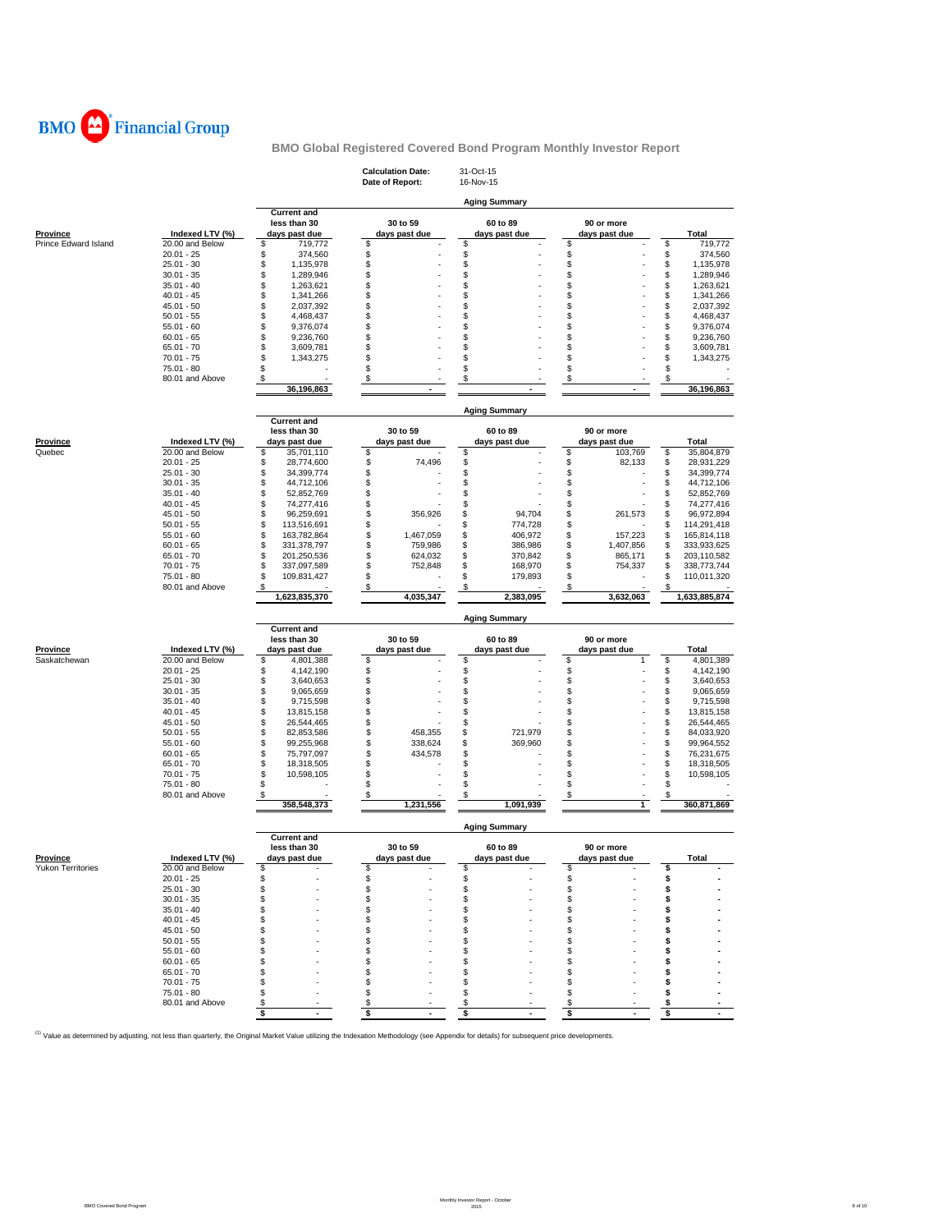

| <b>Calculation Date:</b><br>31-Oct-15<br>Date of Report:<br>16-Nov-15                                                        |                                                   |
|------------------------------------------------------------------------------------------------------------------------------|---------------------------------------------------|
|                                                                                                                              |                                                   |
| <b>Aging Summary</b><br><b>Current and</b>                                                                                   |                                                   |
| 30 to 59<br>60 to 89<br>less than 30                                                                                         | 90 or more                                        |
| Province<br>Indexed LTV (%)<br>days past due<br>days past due<br>days past due                                               | days past due<br>Total                            |
| \$<br>Prince Edward Island<br>20.00 and Below<br>\$<br>719,772<br>\$<br>\$                                                   | \$<br>719,772                                     |
| $20.01 - 25$<br>\$<br>374,560<br>\$<br>\$<br>\$<br>\$<br>\$<br>\$<br>\$<br>$25.01 - 30$                                      | \$<br>374,560<br>\$                               |
| 1,135,978<br>\$<br>\$<br>\$<br>\$<br>$30.01 - 35$<br>1,289,946                                                               | 1,135,978<br>\$<br>1,289,946                      |
| \$<br>\$<br>\$<br>\$<br>$35.01 - 40$<br>1,263,621                                                                            | \$<br>1,263,621                                   |
| \$<br>\$<br>\$<br>\$<br>$40.01 - 45$<br>1,341,266                                                                            | \$<br>1,341,266                                   |
| \$<br>\$<br>\$<br>\$<br>2,037,392<br>45.01 - 50                                                                              | \$<br>2,037,392                                   |
| \$<br>\$<br>\$<br>\$<br>$50.01 - 55$<br>4,468,437                                                                            | S<br>4,468,437                                    |
| \$<br>\$<br>\$<br>\$<br>$55.01 - 60$<br>9,376,074                                                                            | \$<br>9,376,074                                   |
| \$<br>\$<br>\$<br>\$<br>$60.01 - 65$<br>9,236,760                                                                            | S<br>9,236,760                                    |
| $65.01 - 70$<br>\$<br>\$<br>\$<br>\$<br>3,609,781                                                                            | \$<br>3,609,781                                   |
| \$<br>\$<br>\$<br>\$<br>$70.01 - 75$<br>1,343,275<br>\$<br>\$<br>\$<br>\$<br>$75.01 - 80$                                    | S<br>1,343,275                                    |
| \$<br>\$<br>\$<br>\$                                                                                                         | \$                                                |
| 80.01 and Above<br>36,196,863                                                                                                | \$<br>36,196,863                                  |
|                                                                                                                              |                                                   |
| <b>Aging Summary</b><br><b>Current and</b>                                                                                   |                                                   |
| less than 30<br>30 to 59<br>60 to 89                                                                                         | 90 or more                                        |
| Indexed LTV (%)<br>days past due<br>days past due<br>days past due<br>Province                                               | days past due<br>Total                            |
| Quebec<br>20.00 and Below<br>35,701,110<br>\$<br>\$<br>\$<br>\$                                                              | \$<br>103,769<br>35,804,879                       |
| \$<br>\$<br>\$<br>74,496<br>\$<br>$20.01 - 25$<br>28,774,600                                                                 | 82,133<br>\$<br>28,931,229                        |
| \$<br>\$<br>\$<br>\$<br>$25.01 - 30$<br>34,399,774                                                                           | \$<br>34,399,774                                  |
| \$<br>\$<br>\$<br>\$<br>$30.01 - 35$<br>44,712,106                                                                           | \$<br>44,712,106                                  |
| \$<br>\$<br>\$<br>\$<br>$35.01 - 40$<br>52,852,769                                                                           | \$<br>52,852,769                                  |
| \$<br>\$<br>\$<br>\$<br>$40.01 - 45$<br>74,277,416                                                                           | \$<br>74,277,416                                  |
| \$<br>\$<br>\$<br>\$<br>45.01 - 50<br>96,259,691<br>356.926<br>94,704<br>774.728                                             | 261,573<br>S<br>96,972,894                        |
| \$<br>\$<br>\$<br>\$<br>$50.01 - 55$<br>113,516,691<br>\$<br>\$<br>\$<br>406,972<br>\$<br>1,467,059                          | \$<br>114,291,418<br>157,223<br>\$<br>165,814,118 |
| $55.01 - 60$<br>163,782,864<br>\$<br>\$<br>\$<br>\$<br>$60.01 - 65$<br>331,378,797<br>759,986<br>386.986                     | 1,407,856<br>\$<br>333,933,625                    |
| \$<br>\$<br>\$<br>\$<br>624,032<br>$65.01 - 70$<br>201,250,536<br>370,842                                                    | \$<br>865,171<br>203,110,582                      |
| \$<br>\$<br>\$<br>$70.01 - 75$<br>\$<br>337,097,589<br>752,848<br>168,970                                                    | 754,337<br>S<br>338,773,744                       |
| \$<br>\$<br>\$<br>\$<br>75.01 - 80<br>179,893<br>109,831,427                                                                 | 110,011,320<br>S                                  |
| \$<br>80.01 and Above<br>\$<br>\$<br>\$                                                                                      | S                                                 |
|                                                                                                                              |                                                   |
| 4,035,347<br>2,383,095<br>1,623,835,370                                                                                      | 3,632,063<br>1,633,885,874                        |
| <b>Aging Summary</b>                                                                                                         |                                                   |
| <b>Current and</b>                                                                                                           |                                                   |
| less than 30<br>30 to 59<br>60 to 89                                                                                         | 90 or more                                        |
| Province<br>Indexed LTV (%)<br>days past due<br>days past due<br>days past due                                               | days past due<br>Total                            |
| \$<br>Saskatchewan<br>20.00 and Below<br>\$<br>\$<br>\$<br>4,801,388                                                         | \$<br>4,801,389<br>1                              |
| \$<br>\$<br>\$<br>\$<br>$20.01 - 25$<br>4,142,190                                                                            | \$<br>4,142,190                                   |
| \$<br>\$<br>\$<br>\$<br>$25.01 - 30$<br>3,640,653                                                                            | \$<br>3,640,653                                   |
| \$<br>\$<br>\$<br>\$<br>$30.01 - 35$<br>9,065,659                                                                            | \$<br>9,065,659                                   |
| \$<br>\$<br>\$<br>\$<br>$35.01 - 40$<br>9,715,598                                                                            | \$<br>9,715,598                                   |
| \$<br>\$<br>\$<br>\$<br>$40.01 - 45$<br>13,815,158                                                                           | \$<br>13,815,158                                  |
| \$<br>\$<br>\$<br>\$<br>45.01 - 50<br>26,544,465<br>\$<br>\$<br>\$<br>721,979<br>\$<br>458,355<br>$50.01 - 55$<br>82,853,586 | \$<br>26,544,465<br>\$<br>84,033,920              |
| \$<br>\$<br>\$<br>\$<br>$55.01 - 60$<br>99,255,968<br>338,624<br>369,960                                                     | \$<br>99,964,552                                  |
| \$<br>\$<br>434,578<br>\$<br>\$<br>$60.01 - 65$<br>75,797,097                                                                | \$<br>76,231,675                                  |
| \$<br>\$<br>\$<br>\$<br>$65.01 - 70$<br>18,318,505                                                                           | \$<br>18,318,505                                  |
| \$<br>\$<br>\$<br>\$<br>$70.01 - 75$<br>10,598,105                                                                           | \$<br>10,598,105                                  |
| \$<br>\$<br>\$<br>\$<br>75.01 - 80                                                                                           | \$                                                |
| 80.01 and Above<br>\$<br>\$<br>\$<br>\$                                                                                      | \$<br>1                                           |
| 358,548,373<br>1,231,556<br>1,091,939                                                                                        | 360,871,869                                       |
| <b>Aging Summary</b>                                                                                                         |                                                   |
| <b>Current and</b><br>30 to 59<br>less than 30<br>60 to 89                                                                   | 90 or more                                        |
| Indexed LTV (%)<br>days past due<br>days past due<br><b>Province</b><br>days past due                                        | days past due<br>Total                            |
| <b>Yukon Territories</b><br>20.00 and Below<br>s<br>\$<br>\$                                                                 |                                                   |
| $20.01 - 25$<br>\$<br>\$<br>\$<br>\$                                                                                         | Ş                                                 |
| $25.01 - 30$<br>\$<br>\$<br>\$<br>\$                                                                                         | \$                                                |
| $30.01 - 35$<br>\$<br>\$<br>\$<br>\$                                                                                         | \$                                                |
| $35.01 - 40$<br>\$<br>\$<br>\$<br>\$<br>S                                                                                    | \$                                                |
| $40.01 - 45$<br>\$<br>\$<br>\$<br>$45.01 - 50$<br>S<br>\$<br>\$<br>\$                                                        | \$<br>\$                                          |
| $50.01 - 55$<br>\$<br>\$<br>\$<br>\$                                                                                         | \$                                                |
| $55.01 - 60$<br>\$<br>\$<br>\$<br>\$                                                                                         | \$                                                |
| $60.01 - 65$<br>S<br>\$<br>\$<br>\$                                                                                          | \$                                                |
| \$<br>$65.01 - 70$<br>\$<br>\$<br>S                                                                                          | \$                                                |
| $70.01 - 75$<br>\$<br>s<br>\$<br>\$                                                                                          | s                                                 |
| $75.01 - 80$<br>\$<br>\$<br>\$<br>\$<br>80.01 and Above<br>\$<br>\$<br>S<br>\$                                               | Ŝ<br>s                                            |

<sup>(1)</sup> Value as determined by adjusting, not less than quarterly, the Original Market Value utilizing the Indexation Methodology (see Appendix for details) for subsequent price developments.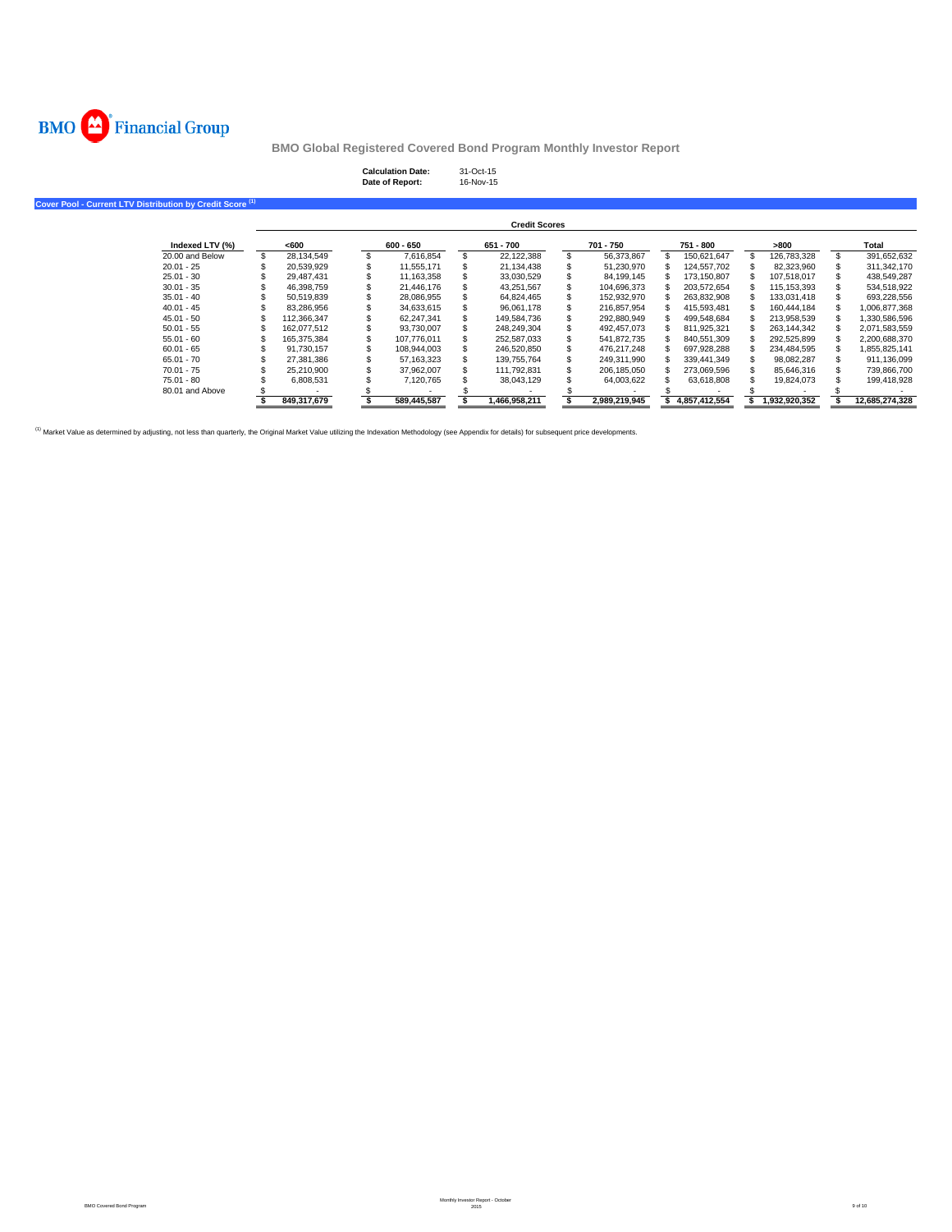

# **Calculation Date:** 31-Oct-15 **Date of Report:** 16-Nov-15

**Cover Pool - Current LTV Distribution by Credit Score (1)**

|                 |             |             |     | <b>Credit Scores</b> |                   |               |               |                |
|-----------------|-------------|-------------|-----|----------------------|-------------------|---------------|---------------|----------------|
| Indexed LTV (%) | <600        | $600 - 650$ |     | 651 - 700            | 701 - 750         | 751 - 800     | >800          | Total          |
| 20,00 and Below | 28.134.549  | 7.616.854   | \$. | 22.122.388           | 56.373.867        | 150.621.647   | 126.783.328   | 391.652.632    |
| $20.01 - 25$    | 20.539.929  | 11.555.171  |     | 21.134.438           | 51.230.970        | 124.557.702   | 82.323.960    | 311.342.170    |
| $25.01 - 30$    | 29.487.431  | 11.163.358  |     | 33.030.529           | 84.199.145        | 173.150.807   | 107.518.017   | 438.549.287    |
| $30.01 - 35$    | 46.398.759  | 21,446,176  |     | 43,251,567           | 104,696,373       | 203.572.654   | 115.153.393   | 534,518,922    |
| $35.01 - 40$    | 50.519.839  | 28.086.955  |     | 64.824.465           | 152.932.970       | 263.832.908   | 133.031.418   | 693,228,556    |
| $40.01 - 45$    | 83.286.956  | 34.633.615  |     | 96.061.178           | \$<br>216.857.954 | 415.593.481   | 160.444.184   | 1.006.877.368  |
| $45.01 - 50$    | 112.366.347 | 62.247.341  |     | 149.584.736          | 292.880.949       | 499.548.684   | 213.958.539   | 1.330.586.596  |
| $50.01 - 55$    | 162.077.512 | 93.730.007  |     | 248,249,304          | 492,457,073       | 811,925,321   | 263.144.342   | 2,071,583,559  |
| $55.01 - 60$    | 165.375.384 | 107.776.011 |     | 252,587,033          | 541.872.735       | 840.551.309   | 292.525.899   | 2.200.688.370  |
| $60.01 - 65$    | 91.730.157  | 108.944.003 |     | 246.520.850          | 476.217.248       | 697.928.288   | 234.484.595   | 1,855,825,141  |
| $65.01 - 70$    | 27.381.386  | 57.163.323  |     | 139.755.764          | 249.311.990       | 339.441.349   | 98.082.287    | 911.136.099    |
| $70.01 - 75$    | 25.210.900  | 37.962.007  |     | 111.792.831          | 206.185.050       | 273.069.596   | 85.646.316    | 739.866.700    |
| 75.01 - 80      | 6.808.531   | 7.120.765   |     | 38.043.129           | 64,003,622        | 63.618.808    | 19.824.073    | 199.418.928    |
| 80.01 and Above |             |             |     |                      |                   |               |               |                |
|                 | 849.317.679 | 589.445.587 |     | 1.466.958.211        | 2.989.219.945     | 4.857.412.554 | 1.932.920.352 | 12.685.274.328 |

<sup>(1)</sup> Market Value as determined by adjusting, not less than quarterly, the Original Market Value utilizing the Indexation Methodology (see Appendix for details) for subsequent price developments.